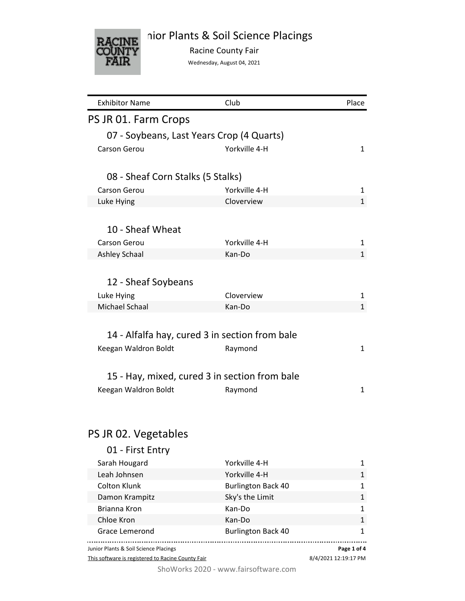# nior Plants & Soil Science Placings



Racine County Fair

Wednesday, August 04, 2021

| <b>Exhibitor Name</b>                          | Club                      | Place        |
|------------------------------------------------|---------------------------|--------------|
| PS JR 01. Farm Crops                           |                           |              |
| 07 - Soybeans, Last Years Crop (4 Quarts)      |                           |              |
| <b>Carson Gerou</b>                            | Yorkville 4-H             | $\mathbf{1}$ |
|                                                |                           |              |
| 08 - Sheaf Corn Stalks (5 Stalks)              |                           |              |
| <b>Carson Gerou</b>                            | Yorkville 4-H             | 1            |
| Luke Hying                                     | Cloverview                | $\mathbf{1}$ |
|                                                |                           |              |
| 10 - Sheaf Wheat                               |                           |              |
| <b>Carson Gerou</b>                            | Yorkville 4-H             | 1            |
| <b>Ashley Schaal</b>                           | Kan-Do                    | $\mathbf{1}$ |
|                                                |                           |              |
|                                                |                           |              |
| 12 - Sheaf Soybeans                            |                           |              |
| Luke Hying                                     | Cloverview                | 1            |
| Michael Schaal                                 | Kan-Do                    | $\mathbf{1}$ |
|                                                |                           |              |
| 14 - Alfalfa hay, cured 3 in section from bale |                           |              |
| Keegan Waldron Boldt                           | Raymond                   | 1            |
|                                                |                           |              |
| 15 - Hay, mixed, cured 3 in section from bale  |                           |              |
| Keegan Waldron Boldt                           |                           | 1            |
|                                                | Raymond                   |              |
|                                                |                           |              |
|                                                |                           |              |
| PS JR 02. Vegetables                           |                           |              |
| 01 - First Entry                               |                           |              |
| Sarah Hougard                                  | Yorkville 4-H             | $\mathbf{1}$ |
| Leah Johnsen                                   | Yorkville 4-H             | $\mathbf{1}$ |
| <b>Colton Klunk</b>                            | <b>Burlington Back 40</b> | 1            |
| Damon Krampitz                                 | Sky's the Limit           | $\mathbf{1}$ |
| Brianna Kron                                   | Kan-Do                    | 1            |
| Chloe Kron                                     | Kan-Do                    | $\mathbf{1}$ |

Junior Plants & Soil Science Placings **Page 1 of 4**

This software is registered to Racine County Fair

8/4/2021 12:19:17 PM

ShoWorks 2020 - www.fairsoftware.com

Grace Lemerond Burlington Back 40 1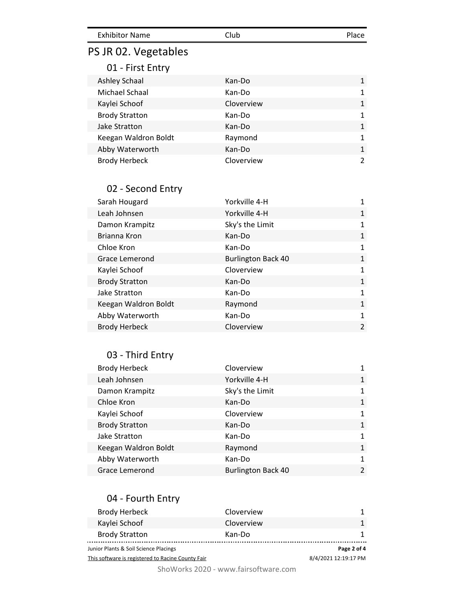| <b>Exhibitor Name</b> | Club | Place |
|-----------------------|------|-------|
|                       |      |       |

# PS JR 02. Vegetables

### 01 - First Entry

| Ashley Schaal         | Kan-Do     |                |
|-----------------------|------------|----------------|
| Michael Schaal        | Kan-Do     | $\mathbf{1}$   |
| Kaylei Schoof         | Cloverview | 1              |
| <b>Brody Stratton</b> | Kan-Do     | 1              |
| Jake Stratton         | Kan-Do     | $\mathbf{1}$   |
| Keegan Waldron Boldt  | Raymond    |                |
| Abby Waterworth       | Kan-Do     | $\mathbf{1}$   |
| <b>Brody Herbeck</b>  | Cloverview | $\mathfrak{p}$ |

#### 02 - Second Entry

| Sarah Hougard         | Yorkville 4-H             |                |
|-----------------------|---------------------------|----------------|
| Leah Johnsen          | Yorkville 4-H             | 1              |
| Damon Krampitz        | Sky's the Limit           | 1              |
| Brianna Kron          | Kan-Do                    | $\mathbf{1}$   |
| Chloe Kron            | Kan-Do                    | 1              |
| <b>Grace Lemerond</b> | <b>Burlington Back 40</b> | $\mathbf{1}$   |
| Kaylei Schoof         | Cloverview                | 1              |
| <b>Brody Stratton</b> | Kan-Do                    | $\mathbf{1}$   |
| Jake Stratton         | Kan-Do                    | 1              |
| Keegan Waldron Boldt  | Raymond                   | $\mathbf{1}$   |
| Abby Waterworth       | Kan-Do                    | 1              |
| <b>Brody Herbeck</b>  | Cloverview                | $\overline{2}$ |

## 03 - Third Entry

| <b>Brody Herbeck</b>  | Cloverview                |               |
|-----------------------|---------------------------|---------------|
| Leah Johnsen          | Yorkville 4-H             | $\mathbf{1}$  |
| Damon Krampitz        | Sky's the Limit           | $\mathbf{1}$  |
| Chloe Kron            | Kan-Do                    | $\mathbf{1}$  |
| Kaylei Schoof         | Cloverview                | $\mathbf{1}$  |
| <b>Brody Stratton</b> | Kan-Do                    | $\mathbf{1}$  |
| Jake Stratton         | Kan-Do                    | $\mathbf{1}$  |
| Keegan Waldron Boldt  | Raymond                   | $\mathbf{1}$  |
| Abby Waterworth       | Kan-Do                    | $\mathbf{1}$  |
| Grace Lemerond        | <b>Burlington Back 40</b> | $\mathcal{L}$ |

### 04 - Fourth Entry

| Brody Herbeck                                     | Cloverview |                      |
|---------------------------------------------------|------------|----------------------|
| Kaylei Schoof                                     | Cloverview |                      |
| <b>Brody Stratton</b>                             | Kan-Do     |                      |
| Junior Plants & Soil Science Placings             |            | Page 2 of 4          |
| This software is registered to Racine County Fair |            | 8/4/2021 12:19:17 PM |

ShoWorks 2020 - www.fairsoftware.com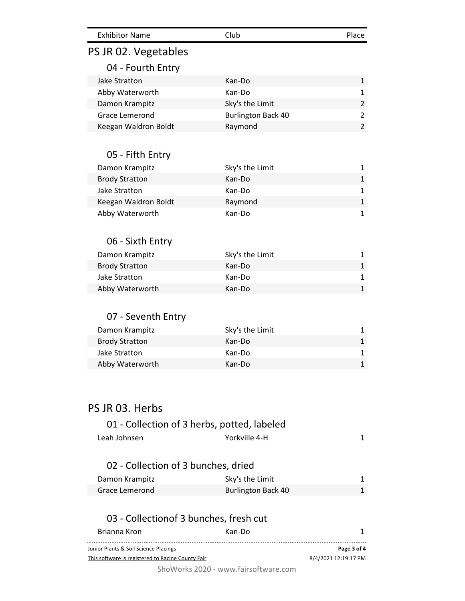| <b>Exhibitor Name</b>                             | Club                      | Place                |
|---------------------------------------------------|---------------------------|----------------------|
| PS JR 02. Vegetables                              |                           |                      |
| 04 - Fourth Entry                                 |                           |                      |
| <b>Jake Stratton</b>                              | Kan-Do                    | 1                    |
| Abby Waterworth                                   | Kan-Do                    | 1                    |
| Damon Krampitz                                    | Sky's the Limit           | $\overline{2}$       |
| <b>Grace Lemerond</b>                             | <b>Burlington Back 40</b> | 2                    |
| Keegan Waldron Boldt                              | Raymond                   | $\overline{2}$       |
| 05 - Fifth Entry                                  |                           |                      |
| Damon Krampitz                                    | Sky's the Limit           | 1                    |
| <b>Brody Stratton</b>                             | Kan-Do                    | $\mathbf 1$          |
| <b>Jake Stratton</b>                              | Kan-Do                    | 1                    |
| Keegan Waldron Boldt                              | Raymond                   | 1                    |
| Abby Waterworth                                   | Kan-Do                    | 1                    |
| 06 - Sixth Entry                                  |                           |                      |
| Damon Krampitz                                    | Sky's the Limit           | 1                    |
| <b>Brody Stratton</b>                             | Kan-Do                    | 1                    |
| <b>Jake Stratton</b>                              | Kan-Do                    | 1                    |
| Abby Waterworth                                   | Kan-Do                    | $\mathbf{1}$         |
| 07 - Seventh Entry                                |                           |                      |
| Damon Krampitz                                    | Sky's the Limit           | 1                    |
| <b>Brody Stratton</b>                             | Kan-Do                    | $\mathbf{1}$         |
| <b>Jake Stratton</b>                              | Kan-Do                    | 1                    |
| Abby Waterworth                                   | Kan-Do                    | 1                    |
|                                                   |                           |                      |
| PS JR 03. Herbs                                   |                           |                      |
| 01 - Collection of 3 herbs, potted, labeled       |                           |                      |
| Leah Johnsen                                      | Yorkville 4-H             | 1                    |
| 02 - Collection of 3 bunches, dried               |                           |                      |
| Damon Krampitz                                    | Sky's the Limit           | 1                    |
| <b>Grace Lemerond</b>                             | <b>Burlington Back 40</b> | 1                    |
| 03 - Collectionof 3 bunches, fresh cut            |                           |                      |
| Brianna Kron                                      | Kan-Do                    | 1                    |
| Junior Plants & Soil Science Placings             |                           | Page 3 of 4          |
| This software is registered to Racine County Fair |                           | 8/4/2021 12:19:17 PM |

ShoWorks 2020 - www.fairsoftware.com